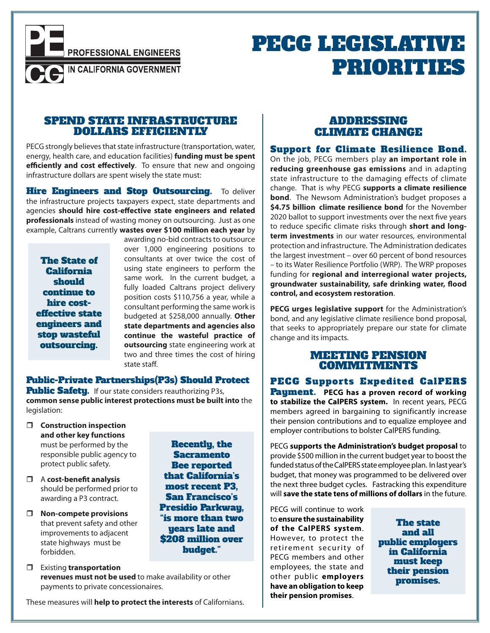**PROFESSIONAL ENGINEERS** 

IN CALIFORNIA GOVERNMENT

PECG LEGISLATIVE PRIORITIES

## SPEND STATE INFRASTRUCTURE DOLLARS EFFICIENTLY

PECG strongly believes that state infrastructure (transportation, water, energy, health care, and education facilities) **funding must be spent efficiently and cost effectively**. To ensure that new and ongoing infrastructure dollars are spent wisely the state must:

**Hire Engineers and Stop Outsourcing.** To deliver the infrastructure projects taxpayers expect, state departments and agencies **should hire cost-effective state engineers and related professionals** instead of wasting money on outsourcing. Just as one example, Caltrans currently **wastes over \$100 million each year** by

The State of California should continue to hire costeffective state engineers and stop wasteful outsourcing.

awarding no-bid contracts to outsource over 1,000 engineering positions to consultants at over twice the cost of using state engineers to perform the same work. In the current budget, a fully loaded Caltrans project delivery position costs \$110,756 a year, while a consultant performing the same work is budgeted at \$258,000 annually. **Other state departments and agencies also continue the wasteful practice of outsourcing** state engineering work at two and three times the cost of hiring state staff.

> Recently, the **Sacramento** Bee reported that California's most recent P3, San Francisco's Presidio Parkway, "is more than two years late and \$208 million over budget."

Public-Private Partnerships(P3s) Should Protect Public Safety. If our state considers reauthorizing P3s, **common sense public interest protections must be built into** the legislation:

- **Construction inspection and other key functions** must be performed by the responsible public agency to protect public safety.
- A **cost-benefit analysis**  should be performed prior to awarding a P3 contract.
- **Non-compete provisions** that prevent safety and other improvements to adjacent state highways must be forbidden.
- Existing **transportation revenues must not be used** to make availability or other payments to private concessionaires.

These measures will **help to protect the interests** of Californians.

# ADDRESSING CLIMATE CHANGE

Support for Climate Resilience Bond. On the job, PECG members play **an important role in reducing greenhouse gas emissions** and in adapting state infrastructure to the damaging effects of climate change. That is why PECG **supports a climate resilience bond**. The Newsom Administration's budget proposes a **\$4.75 billion climate resilience bond** for the November 2020 ballot to support investments over the next five years to reduce specific climate risks through **short and longterm investments** in our water resources, environmental protection and infrastructure. The Administration dedicates the largest investment – over 60 percent of bond resources – to its Water Resilience Portfolio (WRP). The WRP proposes funding for **regional and interregional water projects, groundwater sustainability, safe drinking water, flood control, and ecosystem restoration**.

**PECG urges legislative support** for the Administration's bond, and any legislative climate resilience bond proposal, that seeks to appropriately prepare our state for climate change and its impacts.

## MEETING PENSION COMMITMENTS

PECG Supports Expedited CalPERS Payment. **PECG has a proven record of working to stabilize the CalPERS system.** In recent years, PECG members agreed in bargaining to significantly increase their pension contributions and to equalize employee and employer contributions to bolster CalPERS funding.

PECG **supports the Administration's budget proposal** to provide \$500 million in the current budget year to boost the funded status of the CalPERS state employee plan. In last year's budget, that money was programmed to be delivered over the next three budget cycles. Fastracking this expenditure will **save the state tens of millions of dollars** in the future.

PECG will continue to work to **ensure the sustainability of the CalPERS system**. However, to protect the retirement security of PECG members and other employees, the state and other public **employers have an obligation to keep their pension promises**.

The state and all public employers in California must keep their pension promises.